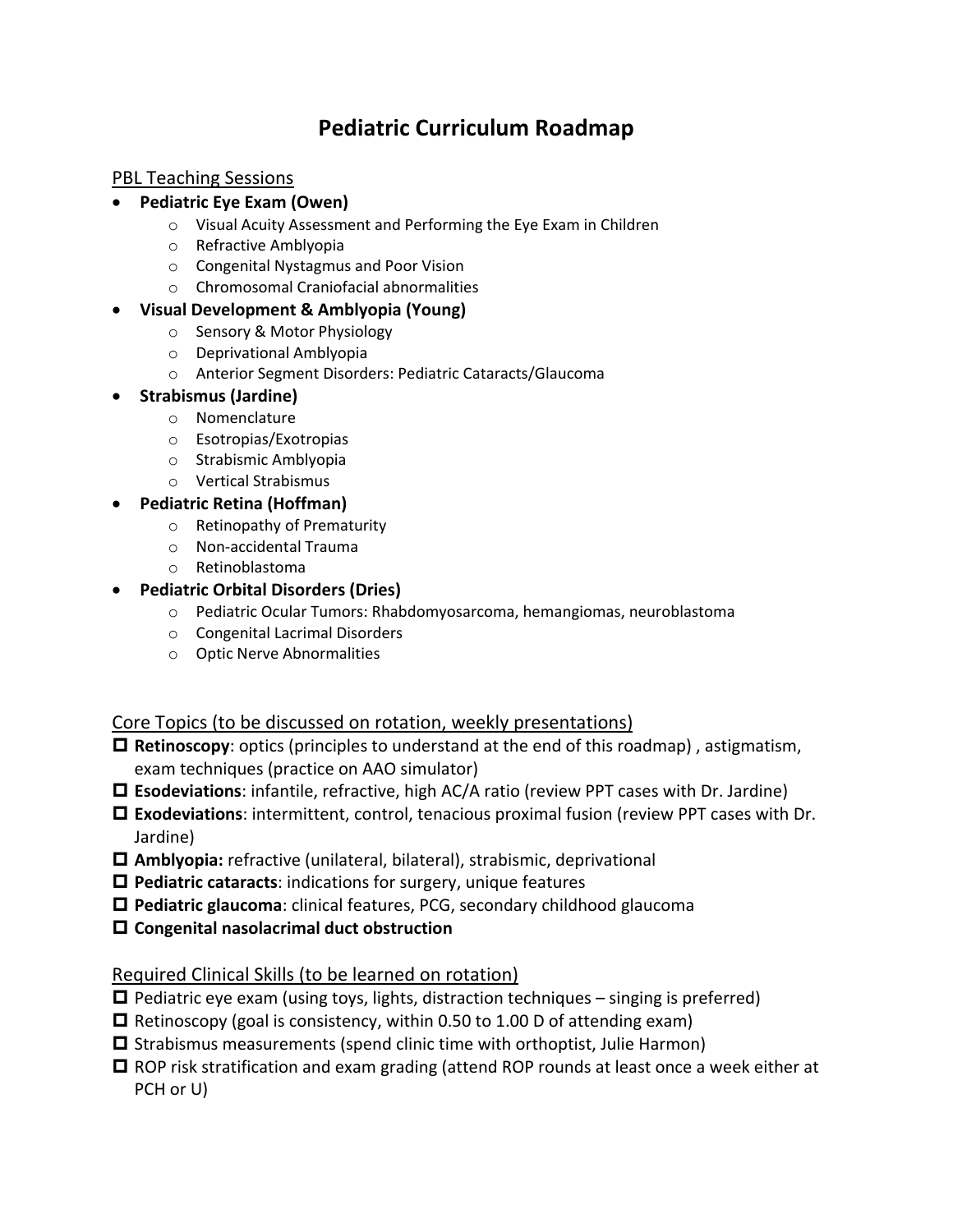# **Pediatric Curriculum Roadmap**

### PBL Teaching Sessions

#### • **Pediatric Eye Exam (Owen)**

- o Visual Acuity Assessment and Performing the Eye Exam in Children
- o Refractive Amblyopia
- o Congenital Nystagmus and Poor Vision
- o Chromosomal Craniofacial abnormalities

#### • **Visual Development & Amblyopia (Young)**

- o Sensory & Motor Physiology
- o Deprivational Amblyopia
- o Anterior Segment Disorders: Pediatric Cataracts/Glaucoma

#### • **Strabismus (Jardine)**

- o Nomenclature
- o Esotropias/Exotropias
- o Strabismic Amblyopia
- o Vertical Strabismus

#### • **Pediatric Retina (Hoffman)**

- o Retinopathy of Prematurity
- o Non-accidental Trauma
- o Retinoblastoma

## • **Pediatric Orbital Disorders (Dries)**

- o Pediatric Ocular Tumors: Rhabdomyosarcoma, hemangiomas, neuroblastoma
- o Congenital Lacrimal Disorders
- o Optic Nerve Abnormalities

## Core Topics (to be discussed on rotation, weekly presentations)

- **Retinoscopy**: optics (principles to understand at the end of this roadmap) , astigmatism, exam techniques (practice on AAO simulator)
- **Esodeviations**: infantile, refractive, high AC/A ratio (review PPT cases with Dr. Jardine)
- **Exodeviations**: intermittent, control, tenacious proximal fusion (review PPT cases with Dr. Jardine)
- **Amblyopia:** refractive (unilateral, bilateral), strabismic, deprivational
- **Pediatric cataracts**: indications for surgery, unique features
- **Pediatric glaucoma**: clinical features, PCG, secondary childhood glaucoma
- **Congenital nasolacrimal duct obstruction**

## Required Clinical Skills (to be learned on rotation)

- $\Box$  Pediatric eye exam (using toys, lights, distraction techniques singing is preferred)
- $\Box$  Retinoscopy (goal is consistency, within 0.50 to 1.00 D of attending exam)
- $\square$  Strabismus measurements (spend clinic time with orthoptist, Julie Harmon)
- ROP risk stratification and exam grading (attend ROP rounds at least once a week either at PCH or U)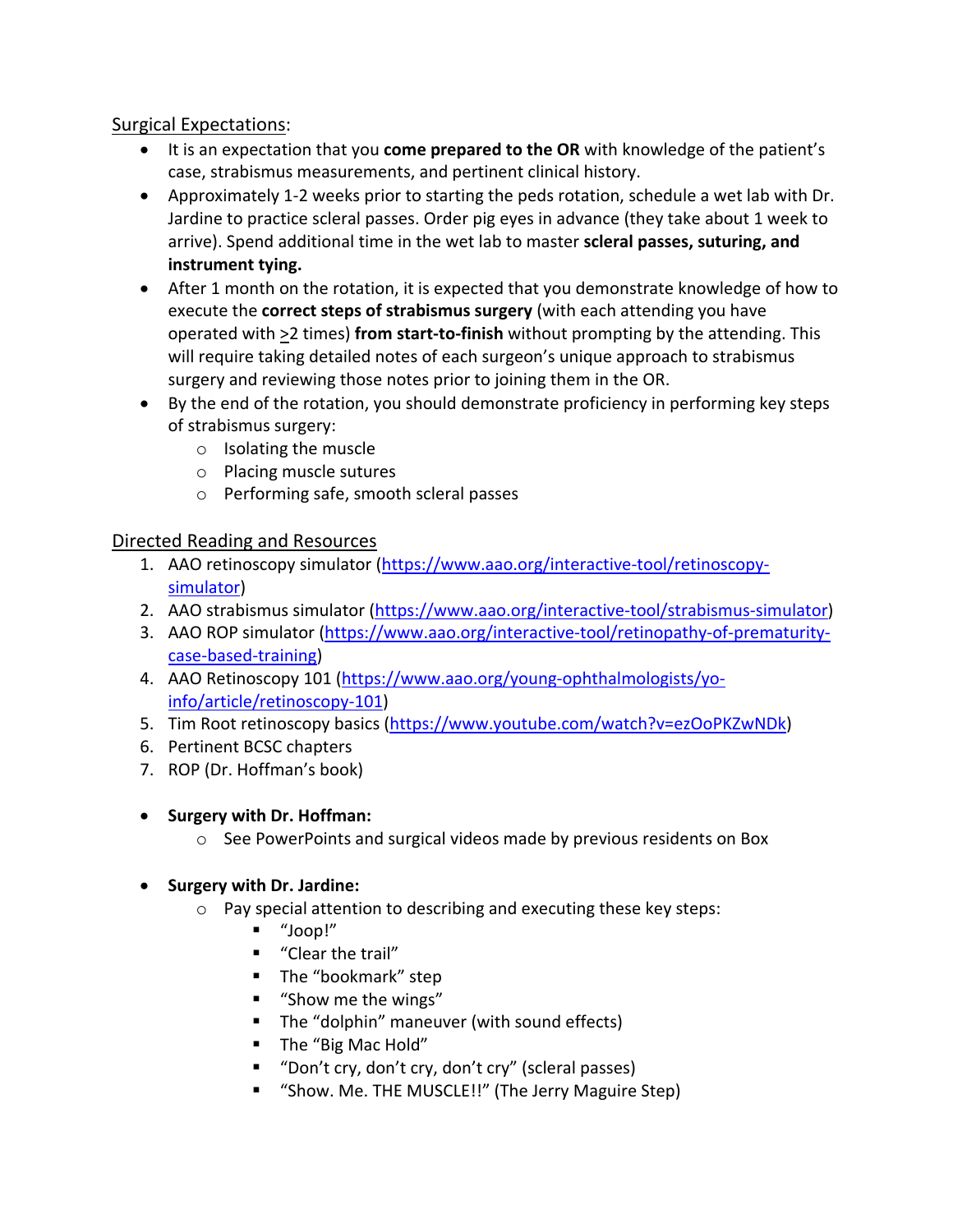## Surgical Expectations:

- It is an expectation that you **come prepared to the OR** with knowledge of the patient's case, strabismus measurements, and pertinent clinical history.
- Approximately 1-2 weeks prior to starting the peds rotation, schedule a wet lab with Dr. Jardine to practice scleral passes. Order pig eyes in advance (they take about 1 week to arrive). Spend additional time in the wet lab to master **scleral passes, suturing, and instrument tying.**
- After 1 month on the rotation, it is expected that you demonstrate knowledge of how to execute the **correct steps of strabismus surgery** (with each attending you have operated with >2 times) **from start-to-finish** without prompting by the attending. This will require taking detailed notes of each surgeon's unique approach to strabismus surgery and reviewing those notes prior to joining them in the OR.
- By the end of the rotation, you should demonstrate proficiency in performing key steps of strabismus surgery:
	- o Isolating the muscle
	- o Placing muscle sutures
	- o Performing safe, smooth scleral passes

#### Directed Reading and Resources

- 1. AAO retinoscopy simulator [\(https://www.aao.org/interactive-tool/retinoscopy](https://www.aao.org/interactive-tool/retinoscopy-simulator)[simulator\)](https://www.aao.org/interactive-tool/retinoscopy-simulator)
- 2. AAO strabismus simulator [\(https://www.aao.org/interactive-tool/strabismus-simulator\)](https://www.aao.org/interactive-tool/strabismus-simulator)
- 3. AAO ROP simulator [\(https://www.aao.org/interactive-tool/retinopathy-of-prematurity](https://www.aao.org/interactive-tool/retinopathy-of-prematurity-case-based-training)[case-based-training\)](https://www.aao.org/interactive-tool/retinopathy-of-prematurity-case-based-training)
- 4. AAO Retinoscopy 101 [\(https://www.aao.org/young-ophthalmologists/yo](https://www.aao.org/young-ophthalmologists/yo-info/article/retinoscopy-101)[info/article/retinoscopy-101\)](https://www.aao.org/young-ophthalmologists/yo-info/article/retinoscopy-101)
- 5. Tim Root retinoscopy basics [\(https://www.youtube.com/watch?v=ezOoPKZwNDk\)](https://www.youtube.com/watch?v=ezOoPKZwNDk)
- 6. Pertinent BCSC chapters
- 7. ROP (Dr. Hoffman's book)

## • **Surgery with Dr. Hoffman:**

o See PowerPoints and surgical videos made by previous residents on Box

## • **Surgery with Dr. Jardine:**

- o Pay special attention to describing and executing these key steps:
	- "Joop!"
	- **"** "Clear the trail"
	- **The "bookmark" step**
	- "Show me the wings"
	- The "dolphin" maneuver (with sound effects)
	- The "Big Mac Hold"
	- "Don't cry, don't cry, don't cry" (scleral passes)
	- **"** "Show. Me. THE MUSCLE!!" (The Jerry Maguire Step)